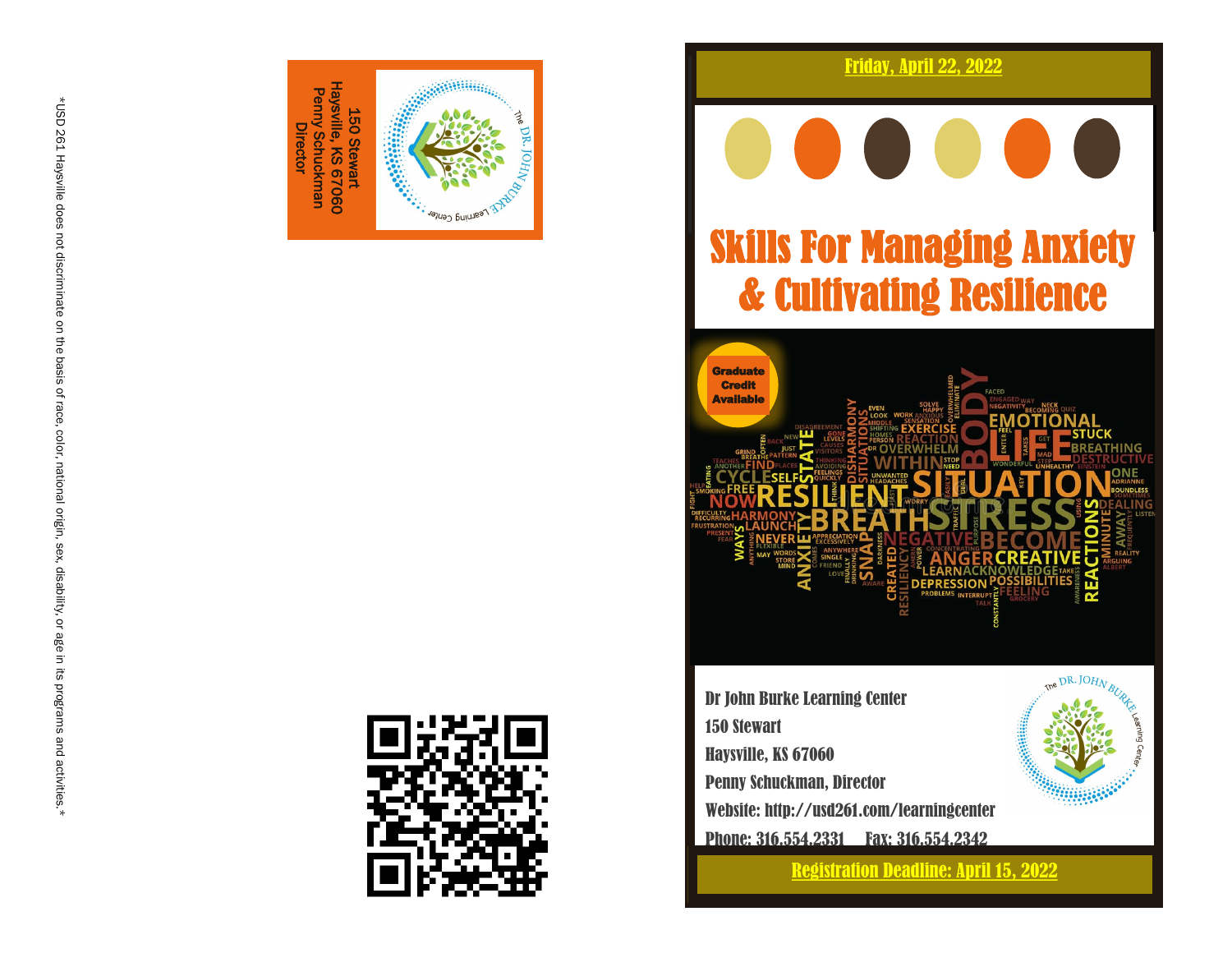



#### Friday, April 22, 2022

# Skills For Managing Anxiety & Cultivating Resilience



Dr John Burke Learning Center 150 Stewart Haysville, KS 67060 Penny Schuckman, Director Website: http://usd261.com/learningcenter Phone: 316.554.2331 Fax: 316.554.2342

Registration Deadline: April 15, 2022

**Basical**